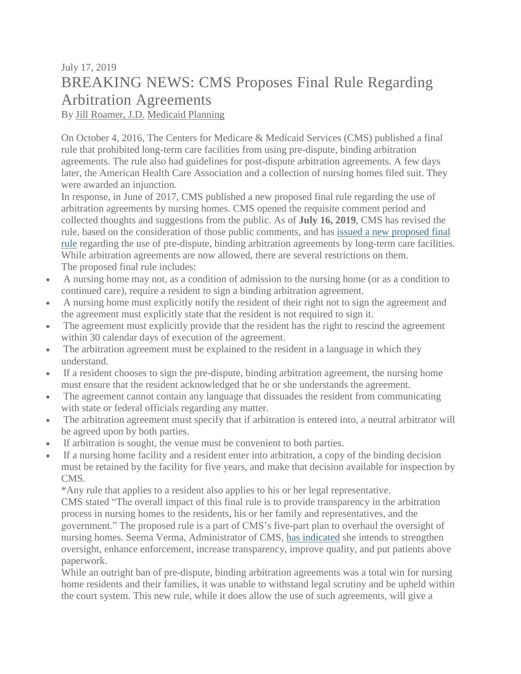## July 17, 2019 BREAKING NEWS: CMS Proposes Final Rule Regarding Arbitration Agreements

By Jill [Roamer,](https://eur03.safelinks.protection.outlook.com/?url=https%3A%2F%2Fblog.eldercounsel.com%2Fauthor%2Fjill-roamer-j-d&data=02%7C01%7C%7Cade45b4ec57c4c61a9b508d716c76d64%7C84df9e7fe9f640afb435aaaaaaaaaaaa%7C1%7C0%7C637002918097161518&sdata=zrHffUrzOLV%2FPynaUgBHBW4tbZpX%2BnZpGI8qy2qAN6M%3D&reserved=0) J.D. [Medicaid](https://eur03.safelinks.protection.outlook.com/?url=https%3A%2F%2Fblog.eldercounsel.com%2Ftopic%2Fmedicaid-planning&data=02%7C01%7C%7Cade45b4ec57c4c61a9b508d716c76d64%7C84df9e7fe9f640afb435aaaaaaaaaaaa%7C1%7C0%7C637002918097161518&sdata=jGM8c6nJ5LHR%2BHDcz%2BE7F8htCOfLyMUNqdb8EC8B3e0%3D&reserved=0) Planning

On October 4, 2016, The Centers for Medicare & Medicaid Services (CMS) published a final rule that prohibited long-term care facilities from using pre-dispute, binding arbitration agreements. The rule also had guidelines for post-dispute arbitration agreements. A few days later, the American Health Care Association and a collection of nursing homes filed suit. They were awarded an injunction.

In response, in June of 2017, CMS published a new proposed final rule regarding the use of arbitration agreements by nursing homes. CMS opened the requisite comment period and collected thoughts and suggestions from the public. As of **July 16, 2019**, CMS has revised the rule, based on the consideration of those public comments, and has issued a new [proposed](https://eur03.safelinks.protection.outlook.com/?url=https%3A%2F%2Fwww.federalregister.gov%2Fpublic-inspection%2Fcurrent&data=02%7C01%7C%7Cade45b4ec57c4c61a9b508d716c76d64%7C84df9e7fe9f640afb435aaaaaaaaaaaa%7C1%7C0%7C637002918097171530&sdata=QmiprKznE1IEVXnEHoyKLFPoZ1o0oNxgNpI4cvSth40%3D&reserved=0) final [rule](https://eur03.safelinks.protection.outlook.com/?url=https%3A%2F%2Fwww.federalregister.gov%2Fpublic-inspection%2Fcurrent&data=02%7C01%7C%7Cade45b4ec57c4c61a9b508d716c76d64%7C84df9e7fe9f640afb435aaaaaaaaaaaa%7C1%7C0%7C637002918097171530&sdata=QmiprKznE1IEVXnEHoyKLFPoZ1o0oNxgNpI4cvSth40%3D&reserved=0) regarding the use of pre-dispute, binding arbitration agreements by long-term care facilities. While arbitration agreements are now allowed, there are several restrictions on them. The proposed final rule includes:

- A nursing home may not, as a condition of admission to the nursing home (or as a condition to continued care), require a resident to sign a binding arbitration agreement.
- A nursing home must explicitly notify the resident of their right not to sign the agreement and the agreement must explicitly state that the resident is not required to sign it.
- The agreement must explicitly provide that the resident has the right to rescind the agreement within 30 calendar days of execution of the agreement.
- The arbitration agreement must be explained to the resident in a language in which they understand.
- If a resident chooses to sign the pre-dispute, binding arbitration agreement, the nursing home must ensure that the resident acknowledged that he or she understands the agreement.
- The agreement cannot contain any language that dissuades the resident from communicating with state or federal officials regarding any matter.
- The arbitration agreement must specify that if arbitration is entered into, a neutral arbitrator will be agreed upon by both parties.
- If arbitration is sought, the venue must be convenient to both parties.
- If a nursing home facility and a resident enter into arbitration, a copy of the binding decision must be retained by the facility for five years, and make that decision available for inspection by CMS.

\*Any rule that applies to a resident also applies to his or her legal representative.

CMS stated "The overall impact of this final rule is to provide transparency in the arbitration process in nursing homes to the residents, his or her family and representatives, and the government." The proposed rule is a part of CMS's five-part plan to overhaul the oversight of nursing homes. Seema Verma, Administrator of CMS, has [indicated](https://eur03.safelinks.protection.outlook.com/?url=https%3A%2F%2Fwww.cms.gov%2Fblog%2Fensuring-safety-and-quality-americas-nursing-homes&data=02%7C01%7C%7Cade45b4ec57c4c61a9b508d716c76d64%7C84df9e7fe9f640afb435aaaaaaaaaaaa%7C1%7C0%7C637002918097181535&sdata=lhDUlXzeEgpc%2BkdzvEofgv9C6yTP41LouaKARO%2FvuA4%3D&reserved=0) she intends to strengthen oversight, enhance enforcement, increase transparency, improve quality, and put patients above paperwork.

While an outright ban of pre-dispute, binding arbitration agreements was a total win for nursing home residents and their families, it was unable to withstand legal scrutiny and be upheld within the court system. This new rule, while it does allow the use of such agreements, will give a